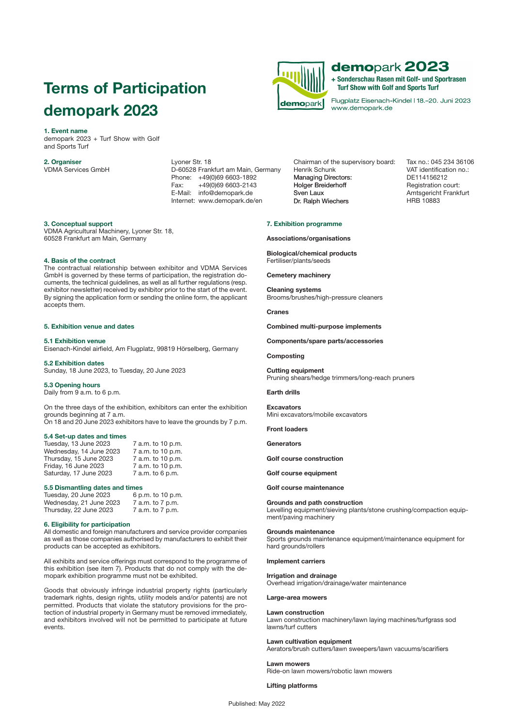# **Terms of Participation demopark 2023**

**1. Event name**

demopark 2023 + Turf Show with Golf and Sports Turf

#### **2. Organiser**

VDMA Services GmbH

Lyoner Str. 18 D-60528 Frankfurt am Main, Germany Phone: +49(0)69 6603-1892 Fax: +49(0)69 6603-2143 E-Mail: info@demopark.de Internet: www.demopark.de/en

#### **3. Conceptual support**

VDMA Agricultural Machinery, Lyoner Str. 18, 60528 Frankfurt am Main, Germany

#### **4. Basis of the contract**

The contractual relationship between exhibitor and VDMA Services GmbH is governed by these terms of participation, the registration documents, the technical guidelines, as well as all further regulations (resp. exhibitor newsletter) received by exhibitor prior to the start of the event. By signing the application form or sending the online form, the applicant accepts them.

#### **5. Exhibition venue and dates**

#### **5.1 Exhibition venue**

Eisenach-Kindel airfield, Am Flugplatz, 99819 Hörselberg, Germany

### **5.2 Exhibition dates**

Sunday, 18 June 2023, to Tuesday, 20 June 2023

#### **5.3 Opening hours**

Daily from 9 a.m. to 6 p.m.

On the three days of the exhibition, exhibitors can enter the exhibition grounds beginning at 7 a.m. On 18 and 20 June 2023 exhibitors have to leave the grounds by 7 p.m.

p.m.

p.m.

#### **5.4 Set-up dates and times**

| Tuesday, 13 June 2023   | 7 a.m. to 10 p.m. |
|-------------------------|-------------------|
| Wednesday, 14 June 2023 | 7 a.m. to 10 p.m. |
| Thursdav. 15 June 2023  | 7 a.m. to 10 p.m. |
| Friday, 16 June 2023    | 7 a.m. to 10 p.m. |
| Saturday, 17 June 2023  | 7 a.m. to 6 p.m.  |

**5.5 Dismantling dates and times** Tuesday, 20 June 2023 6 p.m. to 10 p.m<br>Wednesday, 21 June 2023 7 a.m. to 7 p.m. Wednesday, 21 June 2023 7 a.m. to 7 p.m.<br>Thursday, 22 June 2023 7 a.m. to 7 p.m. Thursday, 22 June 2023

#### **6. Eligibility for participation**

All domestic and foreign manufacturers and service provider companies as well as those companies authorised by manufacturers to exhibit their products can be accepted as exhibitors.

All exhibits and service offerings must correspond to the programme of this exhibition (see item 7). Products that do not comply with the demopark exhibition programme must not be exhibited.

Goods that obviously infringe industrial property rights (particularly trademark rights, design rights, utility models and/or patents) are not permitted. Products that violate the statutory provisions for the protection of industrial property in Germany must be removed immediately, and exhibitors involved will not be permitted to participate at future events.



### demopark 2023

+ Sonderschau Rasen mit Golf- und Sportrasen **Turf Show with Golf and Sports Turf** 

Flugplatz Eisenach-Kindel | 18.-20. Juni 2023 www.demopark.de

Chairman of the supervisory board: Henrik Schunk Managing Directors: Holger Breiderhoff Sven Laux Dr. Ralph Wiechers

Tax no.: 045 234 36106 VAT identification no.: DE114156212 Registration court: Amtsgericht Frankfurt HRB 10883

#### **7. Exhibition programme**

**Associations/organisations**

**Biological/chemical products** Fertiliser/plants/seeds

**Cemetery machinery**

**Cleaning systems** Brooms/brushes/high-pressure cleaners

**Cranes**

**Combined multi-purpose implements**

**Components/spare parts/accessories**

**Composting**

**Cutting equipment** Pruning shears/hedge trimmers/long-reach pruners

### **Earth drills**

**Excavators** Mini excavators/mobile excavators

**Front loaders**

**Generators**

**Golf course construction**

**Golf course equipment**

**Golf course maintenance**

#### **Grounds and path construction**

Levelling equipment/sieving plants/stone crushing/compaction equipment/paving machinery

#### **Grounds maintenance**

Sports grounds maintenance equipment/maintenance equipment for hard grounds/rollers

**Implement carriers**

**Irrigation and drainage** Overhead irrigation/drainage/water maintenance

**Large-area mowers**

#### **Lawn construction**

Lawn construction machinery/lawn laying machines/turfgrass sod lawns/turf cutters

#### **Lawn cultivation equipment**

Aerators/brush cutters/lawn sweepers/lawn vacuums/scarifiers

**Lawn mowers** Ride-on lawn mowers/robotic lawn mowers

#### **Lifting platforms**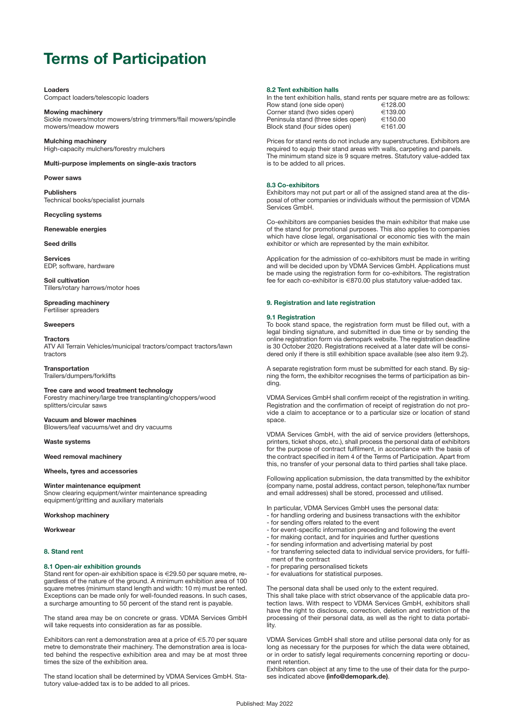## **Terms of Participation**

#### **Loaders**

Compact loaders/telescopic loaders

#### **Mowing machinery**

Sickle mowers/motor mowers/string trimmers/flail mowers/spindle mowers/meadow mowers

**Mulching machinery** High-capacity mulchers/forestry mulchers

**Multi-purpose implements on single-axis tractors**

**Power saws**

**Publishers** Technical books/specialist journals

#### **Recycling systems**

#### **Renewable energies**

#### **Seed drills**

**Services** EDP, software, hardware

**Soil cultivation** Tillers/rotary harrows/motor hoes

**Spreading machinery** Fertiliser spreaders

#### **Sweepers**

#### **Tractors**

ATV All Terrain Vehicles/municipal tractors/compact tractors/lawn tractors

#### **Transportation**

Trailers/dumpers/forklifts

**Tree care and wood treatment technology** Forestry machinery/large tree transplanting/choppers/wood splitters/circular saws

#### **Vacuum and blower machines**

Blowers/leaf vacuums/wet and dry vacuums

#### **Waste systems**

**Weed removal machinery**

#### **Wheels, tyres and accessories**

#### **Winter maintenance equipment**

Snow clearing equipment/winter maintenance spreading equipment/gritting and auxiliary materials

#### **Workshop machinery**

**Workwear**

#### **8. Stand rent**

#### **8.1 Open-air exhibition grounds**

Stand rent for open-air exhibition space is €29.50 per square metre, regardless of the nature of the ground. A minimum exhibition area of 100 square metres (minimum stand length and width: 10 m) must be rented. Exceptions can be made only for well-founded reasons. In such cases, a surcharge amounting to 50 percent of the stand rent is payable.

The stand area may be on concrete or grass. VDMA Services GmbH will take requests into consideration as far as possible.

Exhibitors can rent a demonstration area at a price of  $\in$  5.70 per square metre to demonstrate their machinery. The demonstration area is located behind the respective exhibition area and may be at most three times the size of the exhibition area.

The stand location shall be determined by VDMA Services GmbH. Statutory value-added tax is to be added to all prices.

#### **8.2 Tent exhibition halls**

In the tent exhibition halls, stand rents per square metre are as follows:<br>Row stand (one side open)  $\epsilon$  128.00  $\frac{1}{2}$ Row stand (one side open)  $\epsilon$ 128.00<br>Corner stand (two sides open)  $\epsilon$ 139.00 Corner stand (two sides open)  $\epsilon$ 139.00<br>Peninsula stand (three sides open)  $\epsilon$ 150.00 Peninsula stand (three sides open)  $€150.00$ <br>Block stand (four sides open)  $€161.00$ Block stand (four sides open)

Prices for stand rents do not include any superstructures. Exhibitors are required to equip their stand areas with walls, carpeting and panels. The minimum stand size is 9 square metres. Statutory value-added tax is to be added to all prices.

#### **8.3 Co-exhibitors**

Exhibitors may not put part or all of the assigned stand area at the disposal of other companies or individuals without the permission of VDMA Services GmbH.

Co-exhibitors are companies besides the main exhibitor that make use of the stand for promotional purposes. This also applies to companies which have close legal, organisational or economic ties with the main exhibitor or which are represented by the main exhibitor.

Application for the admission of co-exhibitors must be made in writing and will be decided upon by VDMA Services GmbH. Applications must be made using the registration form for co-exhibitors. The registration fee for each co-exhibitor is €870.00 plus statutory value-added tax.

#### **9. Registration and late registration**

#### **9.1 Registration**

To book stand space, the registration form must be filled out, with a legal binding signature, and submitted in due time or by sending the online registration form via demopark website. The registration deadline is 30 October 2020. Registrations received at a later date will be considered only if there is still exhibition space available (see also item 9.2).

A separate registration form must be submitted for each stand. By signing the form, the exhibitor recognises the terms of participation as binding.

VDMA Services GmbH shall confirm receipt of the registration in writing. Registration and the confirmation of receipt of registration do not provide a claim to acceptance or to a particular size or location of stand space.

VDMA Services GmbH, with the aid of service providers (lettershops, printers, ticket shops, etc.), shall process the personal data of exhibitors for the purpose of contract fulfilment, in accordance with the basis of the contract specified in item 4 of the Terms of Participation. Apart from this, no transfer of your personal data to third parties shall take place.

Following application submission, the data transmitted by the exhibitor (company name, postal address, contact person, telephone/fax number and email addresses) shall be stored, processed and utilised.

In particular, VDMA Services GmbH uses the personal data:

- for handling ordering and business transactions with the exhibitor
- for sending offers related to the event
- for event-specific information preceding and following the event
- for making contact, and for inquiries and further questions
- for sending information and advertising material by post - for transferring selected data to individual service providers, for fulfilment of the contract
- for preparing personalised tickets
- 
- for evaluations for statistical purposes.

The personal data shall be used only to the extent required. This shall take place with strict observance of the applicable data protection laws. With respect to VDMA Services GmbH, exhibitors shall have the right to disclosure, correction, deletion and restriction of the processing of their personal data, as well as the right to data portability.

VDMA Services GmbH shall store and utilise personal data only for as long as necessary for the purposes for which the data were obtained, or in order to satisfy legal requirements concerning reporting or document retention.

Exhibitors can object at any time to the use of their data for the purposes indicated above **(info@demopark.de)**.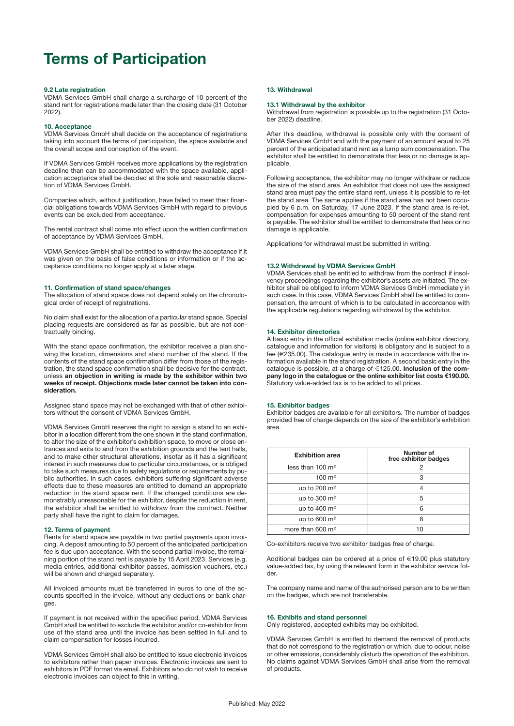### **Terms of Participation**

#### **9.2 Late registration**

VDMA Services GmbH shall charge a surcharge of 10 percent of the stand rent for registrations made later than the closing date (31 October 2022).

#### **10. Acceptance**

VDMA Services GmbH shall decide on the acceptance of registrations taking into account the terms of participation, the space available and the overall scope and conception of the event.

If VDMA Services GmbH receives more applications by the registration deadline than can be accommodated with the space available, application acceptance shall be decided at the sole and reasonable discretion of VDMA Services GmbH.

Companies which, without justification, have failed to meet their financial obligations towards VDMA Services GmbH with regard to previous events can be excluded from acceptance.

The rental contract shall come into effect upon the written confirmation of acceptance by VDMA Services GmbH.

VDMA Services GmbH shall be entitled to withdraw the acceptance if it was given on the basis of false conditions or information or if the acceptance conditions no longer apply at a later stage.

#### **11. Confirmation of stand space/changes**

The allocation of stand space does not depend solely on the chronological order of receipt of registrations.

No claim shall exist for the allocation of a particular stand space. Special placing requests are considered as far as possible, but are not contractually binding.

With the stand space confirmation, the exhibitor receives a plan showing the location, dimensions and stand number of the stand. If the contents of the stand space confirmation differ from those of the registration, the stand space confirmation shall be decisive for the contract, unless **an objection in writing is made by the exhibitor within two weeks of receipt. Objections made later cannot be taken into consideration.**

Assigned stand space may not be exchanged with that of other exhibitors without the consent of VDMA Services GmbH.

VDMA Services GmbH reserves the right to assign a stand to an exhibitor in a location different from the one shown in the stand confirmation, to alter the size of the exhibitor's exhibition space, to move or close entrances and exits to and from the exhibition grounds and the tent halls, and to make other structural alterations, insofar as it has a significant interest in such measures due to particular circumstances, or is obliged to take such measures due to safety regulations or requirements by public authorities. In such cases, exhibitors suffering significant adverse effects due to these measures are entitled to demand an appropriate reduction in the stand space rent. If the changed conditions are demonstrably unreasonable for the exhibitor, despite the reduction in rent, the exhibitor shall be entitled to withdraw from the contract. Neither party shall have the right to claim for damages.

#### **12. Terms of payment**

Rents for stand space are payable in two partial payments upon invoicing. A deposit amounting to 50 percent of the anticipated participation fee is due upon acceptance. With the second partial invoice, the remaining portion of the stand rent is payable by 15 April 2023. Services (e.g. media entries, additional exhibitor passes, admission vouchers, etc.) will be shown and charged separately.

All invoiced amounts must be transferred in euros to one of the accounts specified in the invoice, without any deductions or bank charges.

If payment is not received within the specified period, VDMA Services GmbH shall be entitled to exclude the exhibitor and/or co-exhibitor from use of the stand area until the invoice has been settled in full and to claim compensation for losses incurred.

VDMA Services GmbH shall also be entitled to issue electronic invoices to exhibitors rather than paper invoices. Electronic invoices are sent to exhibitors in PDF format via email. Exhibitors who do not wish to receive electronic invoices can object to this in writing.

#### **13. Withdrawal**

#### **13.1 Withdrawal by the exhibitor**

Withdrawal from registration is possible up to the registration (31 October 2022) deadline.

After this deadline, withdrawal is possible only with the consent of VDMA Services GmbH and with the payment of an amount equal to 25 percent of the anticipated stand rent as a lump sum compensation. The exhibitor shall be entitled to demonstrate that less or no damage is applicable.

Following acceptance, the exhibitor may no longer withdraw or reduce the size of the stand area. An exhibitor that does not use the assigned stand area must pay the entire stand rent, unless it is possible to re-let the stand area. The same applies if the stand area has not been occupied by 6 p.m. on Saturday, 17 June 2023. If the stand area is re-let, compensation for expenses amounting to 50 percent of the stand rent is payable. The exhibitor shall be entitled to demonstrate that less or no damage is applicable.

Applications for withdrawal must be submitted in writing.

#### **13.2 Withdrawal by VDMA Services GmbH**

VDMA Services shall be entitled to withdraw from the contract if insolvency proceedings regarding the exhibitor's assets are initiated. The exhibitor shall be obliged to inform VDMA Services GmbH immediately in such case. In this case, VDMA Services GmbH shall be entitled to compensation, the amount of which is to be calculated in accordance with the applicable regulations regarding withdrawal by the exhibitor.

#### **14. Exhibitor directories**

A basic entry in the official exhibition media (online exhibitor directory, catalogue and information for visitors) is obligatory and is subject to a fee (€235.00). The catalogue entry is made in accordance with the information available in the stand registration. A second basic entry in the catalogue is possible, at a charge of €125.00. **Inclusion of the company logo in the catalogue or the online exhibitor list costs €190.00.** Statutory value-added tax is to be added to all prices.

#### **15. Exhibitor badges**

Exhibitor badges are available for all exhibitors. The number of badges provided free of charge depends on the size of the exhibitor's exhibition area.

| <b>Exhibition area</b>      | Number of<br>free exhibitor badges |
|-----------------------------|------------------------------------|
| less than $100 \text{ m}^2$ |                                    |
| $100 \; \text{m}^2$         | 3                                  |
| up to $200 \text{ m}^2$     |                                    |
| up to 300 $m2$              | 5                                  |
| up to $400 \text{ m}^2$     | ค                                  |
| up to $600 \text{ m}^2$     | 8                                  |
| more than $600 \text{ m}^2$ |                                    |

Co-exhibitors receive two exhibitor badges free of charge.

Additional badges can be ordered at a price of  $\in$ 19.00 plus statutory value-added tax, by using the relevant form in the exhibitor service folder.

The company name and name of the authorised person are to be written on the badges, which are not transferable.

#### **16. Exhibits and stand personnel**

Only registered, accepted exhibits may be exhibited.

VDMA Services GmbH is entitled to demand the removal of products that do not correspond to the registration or which, due to odour, noise or other emissions, considerably disturb the operation of the exhibition. No claims against VDMA Services GmbH shall arise from the removal of products.